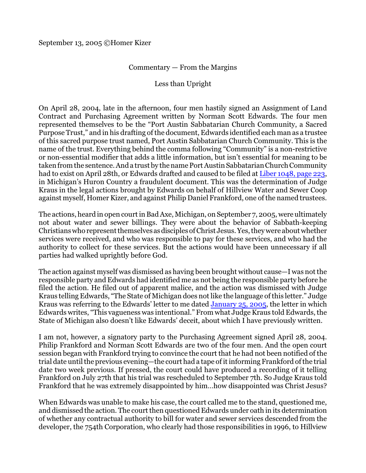## Commentary — From the Margins

## Less than Upright

On April 28, 2004, late in the afternoon, four men hastily signed an Assignment of Land Contract and Purchasing Agreement written by Norman Scott Edwards. The four men represented themselves to be the "Port Austin Sabbatarian Church Community, a Sacred Purpose Trust," and in his drafting of the document, Edwards identified each man as a trustee of this sacred purpose trust named, Port Austin Sabbatarian Church Community. This is the name of the trust. Everything behind the comma following "Community" is a non-restrictive or non-essential modifier that adds a little information, but isn't essential for meaning to be taken from the sentence. And a trust by the name Port Austin Sabbatarian Church Community had to exist on April 28th, or Edwards drafted and caused to be filed at [Liber 1048, page 223](http://homerkizer.org/ALC%201048-223.pdf), in Michigan's Huron Country a fraudulent document. This was the determination of Judge Kraus in the legal actions brought by Edwards on behalf of Hillview Water and Sewer Coop against myself, Homer Kizer, and against Philip Daniel Frankford, one of the named trustees.

The actions, heard in open courtin Bad Axe, Michigan, on September 7, 2005, were ultimately not about water and sewer billings. They were about the behavior of Sabbath-keeping Christians who representthemselvesasdisciples ofChrist Jesus. Yes, they were aboutwhether services were received, and who was responsible to pay for these services, and who had the authority to collect for these services. But the actions would have been unnecessary if all parties had walked uprightly before God.

The action against myself was dismissed as having been brought without cause—I was not the responsible party and Edwards had identified me as not being the responsible party before he filed the action. He filed out of apparent malice, and the action was dismissed with Judge Kraus telling Edwards, "The State of Michigan does not like the language of this letter." Judge Kraus was referring to the Edwards' letter to me dated [January 25, 2005](http://homerkizer.org/01-29-05C.html), the letter in which Edwards writes, "This vagueness was intentional." From what Judge Kraus told Edwards, the State of Michigan also doesn't like Edwards' deceit, about which I have previously written.

I am not, however, a signatory party to the Purchasing Agreement signed April 28, 2004. Philip Frankford and Norman Scott Edwards are two of the four men. And the open court session began with Frankford trying to convince the court that he had not been notified of the trial date until the previous evening—the court had a tape of it informing Frankford of the trial date two week previous. If pressed, the court could have produced a recording of it telling Frankford on July 27th that his trial was rescheduled to September 7th. So Judge Kraus told Frankford that he was extremely disappointed by him…how disappointed was Christ Jesus?

When Edwards was unable to make his case, the court called me to the stand, questioned me, and dismissed the action. The court then questioned Edwards under oath in its determination of whether any contractual authority to bill for water and sewer services descended from the developer, the 754th Corporation, who clearly had those responsibilities in 1996, to Hillview